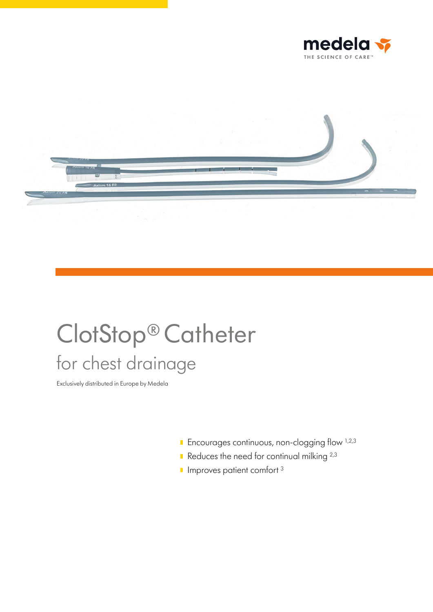



# ClotStop® Catheter for chest drainage

Exclusively distributed in Europe by Medela

- $\blacksquare$  Encourages continuous, non-clogging flow  $^{1,2,3}$
- Reduces the need for continual milking  $2,3$
- $\blacksquare$  Improves patient comfort  $3$